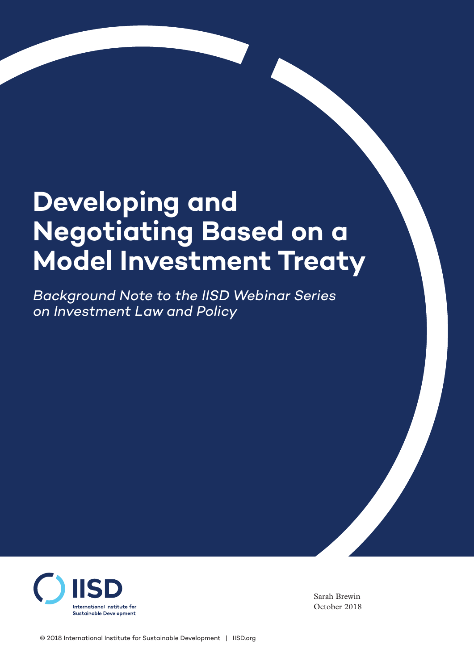# **Developing and Negotiating Based on a Model Investment Treaty**

*Background Note to the IISD Webinar Series on Investment Law and Policy*



Sarah Brewin October 2018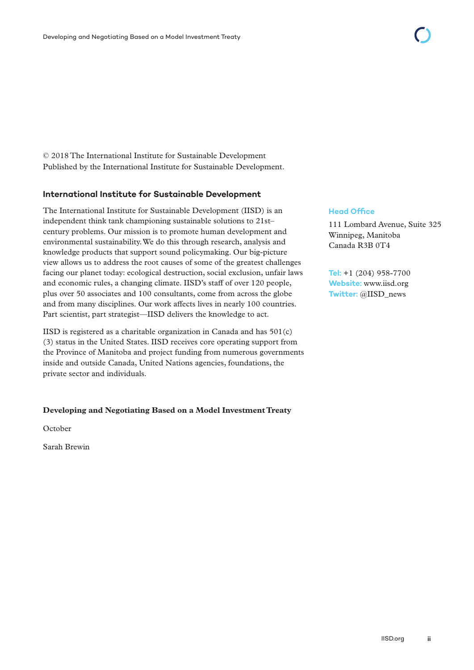© 2018 The International Institute for Sustainable Development Published by the International Institute for Sustainable Development.

#### **International Institute for Sustainable Development**

The International Institute for Sustainable Development (IISD) is an independent think tank championing sustainable solutions to 21st– century problems. Our mission is to promote human development and environmental sustainability. We do this through research, analysis and knowledge products that support sound policymaking. Our big-picture view allows us to address the root causes of some of the greatest challenges facing our planet today: ecological destruction, social exclusion, unfair laws and economic rules, a changing climate. IISD's staff of over 120 people, plus over 50 associates and 100 consultants, come from across the globe and from many disciplines. Our work affects lives in nearly 100 countries. Part scientist, part strategist—IISD delivers the knowledge to act.

IISD is registered as a charitable organization in Canada and has  $501(c)$ (3) status in the United States. IISD receives core operating support from the Province of Manitoba and project funding from numerous governments inside and outside Canada, United Nations agencies, foundations, the private sector and individuals.

#### **Developing and Negotiating Based on a Model Investment Treaty**

October

Sarah Brewin

#### **Head Office**

111 Lombard Avenue, Suite 325 Winnipeg, Manitoba Canada R3B 0T4

**Tel:** +1 (204) 958-7700 **Website:** <www.iisd.org> **Twitter:** @IISD\_news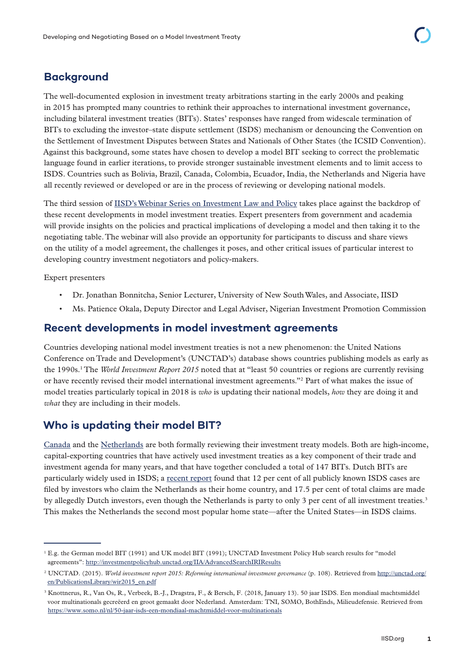# **Background**

The well-documented explosion in investment treaty arbitrations starting in the early 2000s and peaking in 2015 has prompted many countries to rethink their approaches to international investment governance, including bilateral investment treaties (BITs). States' responses have ranged from widescale termination of BITs to excluding the investor–state dispute settlement (ISDS) mechanism or denouncing the Convention on the Settlement of Investment Disputes between States and Nationals of Other States (the ICSID Convention). Against this background, some states have chosen to develop a model BIT seeking to correct the problematic language found in earlier iterations, to provide stronger sustainable investment elements and to limit access to ISDS. Countries such as Bolivia, Brazil, Canada, Colombia, Ecuador, India, the Netherlands and Nigeria have all recently reviewed or developed or are in the process of reviewing or developing national models.

The third session of [IISD's Webinar Series on Investment Law and Policy](https://iisd.org/project/webinars-investment-law-and-policy) takes place against the backdrop of these recent developments in model investment treaties. Expert presenters from government and academia will provide insights on the policies and practical implications of developing a model and then taking it to the negotiating table. The webinar will also provide an opportunity for participants to discuss and share views on the utility of a model agreement, the challenges it poses, and other critical issues of particular interest to developing country investment negotiators and policy-makers.

Expert presenters

- Dr. Jonathan Bonnitcha, Senior Lecturer, University of New South Wales, and Associate, IISD
- Ms. Patience Okala, Deputy Director and Legal Adviser, Nigerian Investment Promotion Commission

### **Recent developments in model investment agreements**

Countries developing national model investment treaties is not a new phenomenon: the United Nations Conference on Trade and Development's (UNCTAD's) database shows countries publishing models as early as the 1990s.<sup>1</sup> The *World Investment Report 2015* noted that at "least 50 countries or regions are currently revising or have recently revised their model international investment agreements."2 Part of what makes the issue of model treaties particularly topical in 2018 is *who* is updating their national models, *how* they are doing it and *what* they are including in their models.

## **Who is updating their model BIT?**

[Canada](https://www.iisd.org/library/progressive-investment-agenda-canada-going-beyond-nice-words) and the [Netherlands](https://www.iisd.org/itn/2018/07/30/the-2018-draft-dutch-model-bit-a-critical-assessment-bart-jaap-verbeek-and-roeline-knottnerus/) are both formally reviewing their investment treaty models. Both are high-income, capital-exporting countries that have actively used investment treaties as a key component of their trade and investment agenda for many years, and that have together concluded a total of 147 BITs. Dutch BITs are particularly widely used in ISDS; a [recent report](https://www.somo.nl/nl/50-jaar-isds-een-mondiaal-machtmiddel-voor-multinationals) found that 12 per cent of all publicly known ISDS cases are filed by investors who claim the Netherlands as their home country, and 17.5 per cent of total claims are made by allegedly Dutch investors, even though the Netherlands is party to only 3 per cent of all investment treaties.<sup>3</sup> This makes the Netherlands the second most popular home state—after the United States—in ISDS claims.

<sup>1</sup> E.g. the German model BIT (1991) and UK model BIT (1991); UNCTAD Investment Policy Hub search results for "model agreements": <http://investmentpolicyhub.unctad.org/IIA/AdvancedSearchIRIResults>

<sup>2</sup> UNCTAD. (2015). *World investment report 2015: Reforming international investment governance* (p. 108). Retrieved from [http://unctad.org/](http://unctad.org/en/PublicationsLibrary/wir2015_en.pdf) [en/PublicationsLibrary/wir2015\\_en.pdf](http://unctad.org/en/PublicationsLibrary/wir2015_en.pdf)

<sup>3</sup> Knottnerus, R., Van Os, R., Verbeek, B.-J., Dragstra, F., & Bersch, F. (2018, January 13). 50 jaar ISDS. Een mondiaal machtsmiddel voor multinationals gecreëerd en groot gemaakt door Nederland. Amsterdam: TNI, SOMO, BothEnds, Milieudefensie. Retrieved from <https://www.somo.nl/nl/50-jaar-isds-een-mondiaal-machtmiddel-voor-multinationals>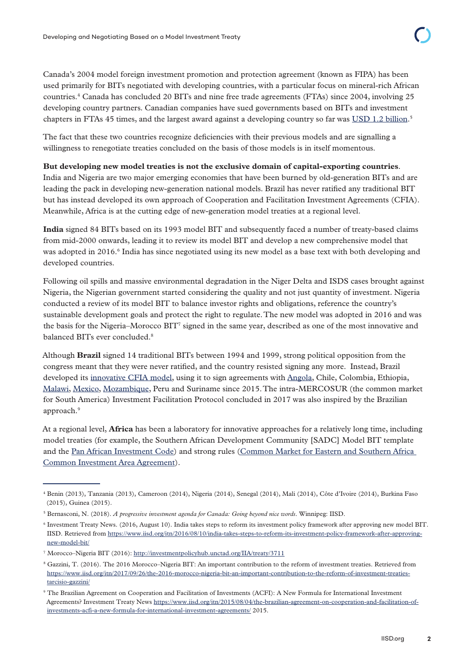Canada's 2004 model foreign investment promotion and protection agreement (known as FIPA) has been used primarily for BITs negotiated with developing countries, with a particular focus on mineral-rich African countries.4 Canada has concluded 20 BITs and nine free trade agreements (FTAs) since 2004, involving 25 developing country partners. Canadian companies have sued governments based on BITs and investment chapters in FTAs 45 times, and the largest award against a developing country so far was [USD 1.2 billion](https://www.iisd.org/itn/2016/08/10/crystallex-international-corporation-v-bolivarian-republic-of-venezuela-icsid-case-no-arb-af-11-2/).<sup>5</sup>

The fact that these two countries recognize deficiencies with their previous models and are signalling a willingness to renegotiate treaties concluded on the basis of those models is in itself momentous.

#### **But developing new model treaties is not the exclusive domain of capital-exporting countries**.

India and Nigeria are two major emerging economies that have been burned by old-generation BITs and are leading the pack in developing new-generation national models. Brazil has never ratified any traditional BIT but has instead developed its own approach of Cooperation and Facilitation Investment Agreements (CFIA). Meanwhile, Africa is at the cutting edge of new-generation model treaties at a regional level.

**India** signed 84 BITs based on its 1993 model BIT and subsequently faced a number of treaty-based claims from mid-2000 onwards, leading it to review its model BIT and develop a new comprehensive model that was adopted in 2016.<sup>6</sup> India has since negotiated using its new model as a base text with both developing and developed countries.

Following oil spills and massive environmental degradation in the Niger Delta and ISDS cases brought against Nigeria, the Nigerian government started considering the quality and not just quantity of investment. Nigeria conducted a review of its model BIT to balance investor rights and obligations, reference the country's sustainable development goals and protect the right to regulate. The new model was adopted in 2016 and was the basis for the Nigeria–Morocco BIT<sup>7</sup> signed in the same year, described as one of the most innovative and balanced BITs ever concluded.8

Although **Brazil** signed 14 traditional BITs between 1994 and 1999, strong political opposition from the congress meant that they were never ratified, and the country resisted signing any more. Instead, Brazil developed its [innovative CFIA model,](https://www.iisd.org/itn/2017/06/12/brazils-cooperation-facilitation-investment-agreements-cfia-recent-developments-jose-henrique-vieira-martins/) using it to sign agreements with [Angola,](https://www.iisd.org/itn/2015/05/21/the-brazil-mozambique-and-brazil-angola-cooperation-and-investment-facilitation-agreements-cifas-a-descriptive-overview/) Chile, Colombia, Ethiopia, [Malawi](https://www.iisd.org/library/comparative-commentary-brazil-cooperation-and-investment-facilitation-agreements-cifas), [Mexico](https://www.iisd.org/library/comparative-commentary-brazil-cooperation-and-investment-facilitation-agreements-cifas), [Mozambique](https://www.iisd.org/library/side-side-comparison-brazil-mozambique-and-brazil-angola-cooperation-and-investment), Peru and Suriname since 2015. The intra-MERCOSUR (the common market for South America) Investment Facilitation Protocol concluded in 2017 was also inspired by the Brazilian approach.<sup>9</sup>

At a regional level, **Africa** has been a laboratory for innovative approaches for a relatively long time, including model treaties (for example, the Southern African Development Community [SADC] Model BIT template and the [Pan African Investment Code](https://au.int/sites/default/files/documents/32844-doc-draft_pan-african_investment_code_december_2016_en.pdf)) and strong rules ([Common Market for Eastern and Southern Africa](http://investmentpolicyhub.unctad.org/Download/TreatyFile/3092http://investmentpolicyhub.unctad.org/Download/TreatyFile/3092)  [Common Investment Area Agreement\)](http://investmentpolicyhub.unctad.org/Download/TreatyFile/3092http://investmentpolicyhub.unctad.org/Download/TreatyFile/3092).

<sup>4</sup> Benin (2013), Tanzania (2013), Cameroon (2014), Nigeria (2014), Senegal (2014), Mali (2014), Côte d'Ivoire (2014), Burkina Faso (2015), Guinea (2015).

<sup>5</sup> Bernasconi, N. (2018). *A progressive investment agenda for Canada: Going beyond nice words*. Winnipeg: IISD.

<sup>6</sup> Investment Treaty News. (2016, August 10). India takes steps to reform its investment policy framework after approving new model BIT. IISD. Retrieved from [https://www.iisd.org/itn/2016/08/10/india-takes-steps-to-reform-its-investment-policy-framework-after-approving](https://www.iisd.org/itn/2016/08/10/india-takes-steps-to-reform-its-investment-policy-framework-after-approving-new-model-bit/)[new-model-bit/](https://www.iisd.org/itn/2016/08/10/india-takes-steps-to-reform-its-investment-policy-framework-after-approving-new-model-bit/)

<sup>&</sup>lt;sup>7</sup> Morocco–Nigeria BIT (2016):<http://investmentpolicyhub.unctad.org/IIA/treaty/3711>

<sup>&</sup>lt;sup>8</sup> Gazzini, T. (2016). The 2016 Morocco–Nigeria BIT: An important contribution to the reform of investment treaties. Retrieved from [https://www.iisd.org/itn/2017/09/26/the-2016-morocco-nigeria-bit-an-important-contribution-to-the-reform-of-investment-treaties](https://www.iisd.org/itn/2017/09/26/the-2016-morocco-nigeria-bit-an-important-contribution-to-the-reform-of-investment-treaties-tarcisio-gazzini/)[tarcisio-gazzini/](https://www.iisd.org/itn/2017/09/26/the-2016-morocco-nigeria-bit-an-important-contribution-to-the-reform-of-investment-treaties-tarcisio-gazzini/)

<sup>9</sup> The Brazilian Agreement on Cooperation and Facilitation of Investments (ACFI): A New Formula for International Investment Agreements? Investment Treaty News [https://www.iisd.org/itn/2015/08/04/the-brazilian-agreement-on-cooperation-and-facilitation-of](https://www.iisd.org/itn/2015/08/04/the-brazilian-agreement-on-cooperation-and-facilitation-of-investments-acfi-a-new-formula-for-international-investment-agreements/)[investments-acfi-a-new-formula-for-international-investment-agreements/](https://www.iisd.org/itn/2015/08/04/the-brazilian-agreement-on-cooperation-and-facilitation-of-investments-acfi-a-new-formula-for-international-investment-agreements/) 2015.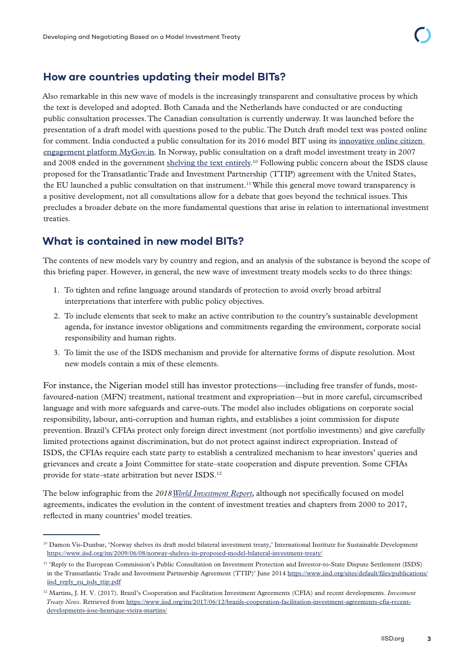## **How are countries updating their model BITs?**

Also remarkable in this new wave of models is the increasingly transparent and consultative process by which the text is developed and adopted. Both Canada and the Netherlands have conducted or are conducting public consultation processes. The Canadian consultation is currently underway. It was launched before the presentation of a draft model with questions posed to the public. The Dutch draft model text was posted online for comment. India conducted a public consultation for its 2016 model BIT using its [innovative online citizen](https://www.mygov.in/group-issue/draft-indian-model-bilateral-investment-treaty-text/)  [engagement platform MyGov.in.](https://www.mygov.in/group-issue/draft-indian-model-bilateral-investment-treaty-text/) In Norway, public consultation on a draft model investment treaty in 2007 and 2008 ended in the government [shelving the text entirely.](https://www.iisd.org/itn/2009/06/08/norway-shelves-its-proposed-model-bilateral-investment-treaty/)<sup>10</sup> Following public concern about the ISDS clause proposed for the Transatlantic Trade and Investment Partnership (TTIP) agreement with the United States, the EU launched a public consultation on that instrument.<sup>11</sup> While this general move toward transparency is a positive development, not all consultations allow for a debate that goes beyond the technical issues. This precludes a broader debate on the more fundamental questions that arise in relation to international investment treaties.

## **What is contained in new model BITs?**

The contents of new models vary by country and region, and an analysis of the substance is beyond the scope of this briefing paper. However, in general, the new wave of investment treaty models seeks to do three things:

- 1. To tighten and refine language around standards of protection to avoid overly broad arbitral interpretations that interfere with public policy objectives.
- 2. To include elements that seek to make an active contribution to the country's sustainable development agenda, for instance investor obligations and commitments regarding the environment, corporate social responsibility and human rights.
- 3. To limit the use of the ISDS mechanism and provide for alternative forms of dispute resolution. Most new models contain a mix of these elements.

For instance, the Nigerian model still has investor protections—including free transfer of funds, mostfavoured-nation (MFN) treatment, national treatment and expropriation—but in more careful, circumscribed language and with more safeguards and carve-outs. The model also includes obligations on corporate social responsibility, labour, anti-corruption and human rights, and establishes a joint commission for dispute prevention. Brazil's CFIAs protect only foreign direct investment (not portfolio investments) and give carefully limited protections against discrimination, but do not protect against indirect expropriation. Instead of ISDS, the CFIAs require each state party to establish a centralized mechanism to hear investors' queries and grievances and create a Joint Committee for state–state cooperation and dispute prevention. Some CFIAs provide for state–state arbitration but never ISDS.<sup>12</sup>

The below infographic from the *2018 [World Investment Report](http://unctad.org/en/PublicationsLibrary/wir2018_en.pdf)*, although not specifically focused on model agreements, indicates the evolution in the content of investment treaties and chapters from 2000 to 2017, reflected in many countries' model treaties.

<sup>&</sup>lt;sup>10</sup> Damon Vis-Dunbar, 'Norway shelves its draft model bilateral investment treaty,' International Institute for Sustainable Development <https://www.iisd.org/itn/2009/06/08/norway-shelves-its-proposed-model-bilateral-investment-treaty/>

<sup>11 &#</sup>x27;Reply to the European Commission's Public Consultation on Investment Protection and Investor-to-State Dispute Settlement (ISDS) in the Transatlantic Trade and Investment Partnership Agreement (TTIP)' June 2014 [https://www.iisd.org/sites/default/files/publications/](https://www.iisd.org/sites/default/files/publications/iisd_reply_eu_isds_ttip.pdf) [iisd\\_reply\\_eu\\_isds\\_ttip.pdf](https://www.iisd.org/sites/default/files/publications/iisd_reply_eu_isds_ttip.pdf)

<sup>12</sup> Martins, J. H. V. (2017). Brazil's Cooperation and Facilitation Investment Agreements (CFIA) and recent developments. *Investment Treaty News*. Retrieved from [https://www.iisd.org/itn/2017/06/12/brazils-cooperation-facilitation-investment-agreements-cfia-recent](https://www.iisd.org/itn/2017/06/12/brazils-cooperation-facilitation-investment-agreements-cfia-recent-developments-jose-henrique-vieira-martins/)[developments-jose-henrique-vieira-martins/](https://www.iisd.org/itn/2017/06/12/brazils-cooperation-facilitation-investment-agreements-cfia-recent-developments-jose-henrique-vieira-martins/)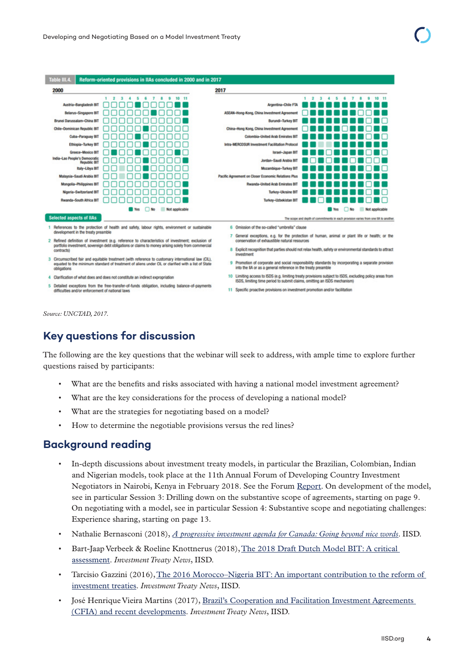

- 2 Refined definition of investment (e.g. reference to characteristics of investment; exclusion of<br>portfolio investment, sovereign debt obligations or claims to money arising solely from commercial contracts)
- 3 Circumscribed fair and equitable treatment (with reference to customary international law (CIL), equated to the minimum standard of treatment of aliens under CIL or clarified with a list of State obligations
- 4 Clarification of what does and does not constitute an indirect expropriation
- 5 Detailed exceptions from the free-transfer-of-funds obligation, including balance-of-payments difficulties and/or enforcement of national laws
- 7 General exceptions, e.g. for the protection of human, animal or plant life or health; or the vation of exha
- 8 Explicit recognition that parties should not relax health, safety or environmental standards to attract
- 9 Promotion of corporate and social responsibility standards by incorporating a separate provision<br>into the IIA or as a general reference in the treaty preamble
- 10 Limiting access to ISDS (e.g. limiting treaty provisions subject to ISDS, excluding policy areas from<br>ISDS, limiting time period to submit claims, omitting an ISDS mechanism)
- 11 Specific proactive provisions on investment promotion and/or facilitation

*Source: UNCTAD, 2017.*

# **Key questions for discussion**

The following are the key questions that the webinar will seek to address, with ample time to explore further questions raised by participants:

- What are the benefits and risks associated with having a national model investment agreement?
- What are the key considerations for the process of developing a national model?
- What are the strategies for negotiating based on a model?
- How to determine the negotiable provisions versus the red lines?

## **Background reading**

- In-depth discussions about investment treaty models, in particular the Brazilian, Colombian, Indian and Nigerian models, took place at the 11th Annual Forum of Developing Country Investment Negotiators in Nairobi, Kenya in February 2018. See the Forum [Report](https://www.iisd.org/sites/default/files/meterial/11th-annual-forum-report-en.pdf). On development of the model, see in particular Session 3: Drilling down on the substantive scope of agreements, starting on page 9. On negotiating with a model, see in particular Session 4: Substantive scope and negotiating challenges: Experience sharing, starting on page 13.
- Nathalie Bernasconi (2018), *[A progressive investment agenda for Canada: Going beyond nice words](https://www.iisd.org/library/progressive-investment-agenda-canada-going-beyond-nice-words)*. IISD.
- Bart-Jaap Verbeek & Roeline Knottnerus (2018), [The 2018 Draft Dutch Model BIT: A critical](https://www.iisd.org/itn/2018/07/30/the-2018-draft-dutch-model-bit-a-critical-assessment-bart-jaap-verbeek-and-roeline-knottnerus/)  [assessment](https://www.iisd.org/itn/2018/07/30/the-2018-draft-dutch-model-bit-a-critical-assessment-bart-jaap-verbeek-and-roeline-knottnerus/). *Investment Treaty News*, IISD.
- Tarcisio Gazzini (2016), [The 2016 Morocco–Nigeria BIT: An important contribution to the reform of](https://www.iisd.org/itn/2017/09/26/the-2016-morocco-nigeria-bit-an-important-contribution-to-the-reform-of-investment-treaties-tarcisio-gazzini/)  [investment treaties](https://www.iisd.org/itn/2017/09/26/the-2016-morocco-nigeria-bit-an-important-contribution-to-the-reform-of-investment-treaties-tarcisio-gazzini/). *Investment Treaty News*, IISD.
- José Henrique Vieira Martins (2017), [Brazil's Cooperation and Facilitation Investment Agreements](https://www.iisd.org/itn/2017/06/12/brazils-cooperation-facilitation-investment-agreements-cfia-recent-developments-jose-henrique-vieira-martins/)  [\(CFIA\) and recent developments.](https://www.iisd.org/itn/2017/06/12/brazils-cooperation-facilitation-investment-agreements-cfia-recent-developments-jose-henrique-vieira-martins/) *Investment Treaty News*, IISD.